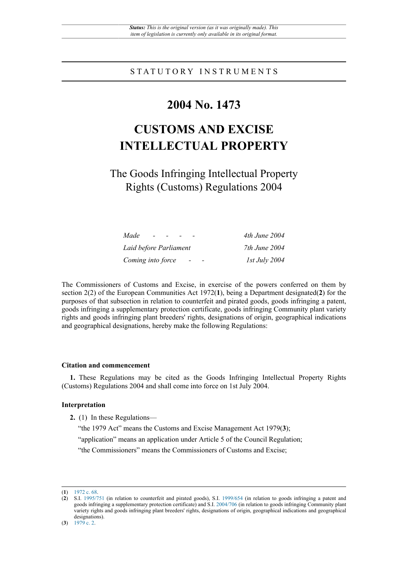### STATUTORY INSTRUMENTS

## **2004 No. 1473**

# **CUSTOMS AND EXCISE INTELLECTUAL PROPERTY**

The Goods Infringing Intellectual Property Rights (Customs) Regulations 2004

| Made                   | 4th June 2004        |
|------------------------|----------------------|
| Laid before Parliament | 7th June 2004        |
| Coming into force      | <i>Ist July 2004</i> |

The Commissioners of Customs and Excise, in exercise of the powers conferred on them by section 2(2) of the European Communities Act 1972(**1**), being a Department designated(**2**) for the purposes of that subsection in relation to counterfeit and pirated goods, goods infringing a patent, goods infringing a supplementary protection certificate, goods infringing Community plant variety rights and goods infringing plant breeders' rights, designations of origin, geographical indications and geographical designations, hereby make the following Regulations:

#### **Citation and commencement**

**1.** These Regulations may be cited as the Goods Infringing Intellectual Property Rights (Customs) Regulations 2004 and shall come into force on 1st July 2004.

#### **Interpretation**

**2.** (1) In these Regulations—

"the 1979 Act" means the Customs and Excise Management Act 1979(**3**);

"application" means an application under Article 5 of the Council Regulation;

"the Commissioners" means the Commissioners of Customs and Excise;

<sup>(</sup>**1**) [1972 c. 68.](http://www.legislation.gov.uk/id/ukpga/1972/68)

<sup>(</sup>**2**) S.I. [1995/751](http://www.legislation.gov.uk/id/uksi/1995/751) (in relation to counterfeit and pirated goods), S.I. [1999/654](http://www.legislation.gov.uk/id/uksi/1999/654) (in relation to goods infringing a patent and goods infringing a supplementary protection certificate) and S.I. [2004/706](http://www.legislation.gov.uk/id/uksi/2004/706) (in relation to goods infringing Community plant variety rights and goods infringing plant breeders' rights, designations of origin, geographical indications and geographical designations).

<sup>(</sup>**3**) [1979 c. 2.](http://www.legislation.gov.uk/id/ukpga/1979/2)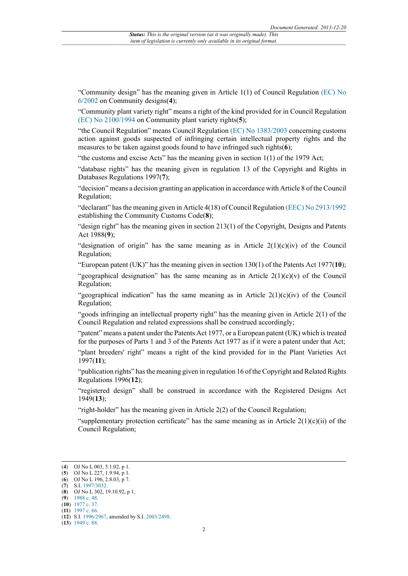"Community design" has the meaning given in Article  $1(1)$  of Council Regulation [\(EC\) No](http://www.legislation.gov.uk/european/regulation/2002/0006) [6/2002](http://www.legislation.gov.uk/european/regulation/2002/0006) on Community designs(**4**);

"Community plant variety right" means a right of the kind provided for in Council Regulation [\(EC\) No 2100/1994](http://www.legislation.gov.uk/european/regulation/1994/2100) on Community plant variety rights(**5**);

"the Council Regulation" means Council Regulation [\(EC\) No 1383/2003](http://www.legislation.gov.uk/european/regulation/2003/1383) concerning customs action against goods suspected of infringing certain intellectual property rights and the measures to be taken against goods found to have infringed such rights(**6**);

"the customs and excise Acts" has the meaning given in section 1(1) of the 1979 Act;

"database rights" has the meaning given in regulation 13 of the Copyright and Rights in Databases Regulations 1997(**7**);

"decision" means a decision granting an application in accordance with Article 8 of the Council Regulation;

"declarant" has the meaning given in Article 4(18) of Council Regulation [\(EEC\) No 2913/1992](http://www.legislation.gov.uk/european/regulation/1992/2913) establishing the Community Customs Code(**8**);

"design right" has the meaning given in section  $213(1)$  of the Copyright, Designs and Patents Act 1988(**9**);

"designation of origin" has the same meaning as in Article  $2(1)(c)(iv)$  of the Council Regulation;

"European patent (UK)" has the meaning given in section 130(1) of the Patents Act 1977(**10**);

"geographical designation" has the same meaning as in Article  $2(1)(c)(v)$  of the Council Regulation;

"geographical indication" has the same meaning as in Article  $2(1)(c)(iv)$  of the Council Regulation;

"goods infringing an intellectual property right" has the meaning given in Article 2(1) of the Council Regulation and related expressions shall be construed accordingly;

"patent" means a patent under the Patents Act 1977, or a European patent (UK) which is treated for the purposes of Parts 1 and 3 of the Patents Act 1977 as if it were a patent under that Act;

"plant breeders' right" means a right of the kind provided for in the Plant Varieties Act 1997(**11**);

"publication rights" has the meaning given in regulation 16 of the Copyright and Related Rights Regulations 1996(**12**);

"registered design" shall be construed in accordance with the Registered Designs Act 1949(**13**);

"right-holder" has the meaning given in Article 2(2) of the Council Regulation;

"supplementary protection certificate" has the same meaning as in Article  $2(1)(c)(ii)$  of the Council Regulation;

(**11**) [1997 c. 66.](http://www.legislation.gov.uk/id/ukpga/1997/66)

<sup>(</sup>**4**) OJ No L 003, 5.1.02, p 1.

<sup>(</sup>**5**) OJ No L 227, 1.9.94, p 1.

<sup>(</sup>**6**) OJ No L 196, 2.8.03, p 7. (**7**) S.I. [1997/3032](http://www.legislation.gov.uk/id/uksi/1997/3032).

<sup>(</sup>**8**) OJ No L 302, 19.10.92, p 1.

<sup>(</sup>**9**) [1988 c. 48.](http://www.legislation.gov.uk/id/ukpga/1988/48)

<sup>(</sup>**10**) [1977 c. 37.](http://www.legislation.gov.uk/id/ukpga/1977/37)

<sup>(</sup>**12**) S.I. [1996/2967](http://www.legislation.gov.uk/id/uksi/1996/2967), amended by S.I. [2003/2498.](http://www.legislation.gov.uk/id/uksi/2003/2498)

<sup>(</sup>**13**) [1949 c. 88.](http://www.legislation.gov.uk/id/ukpga/1949/88)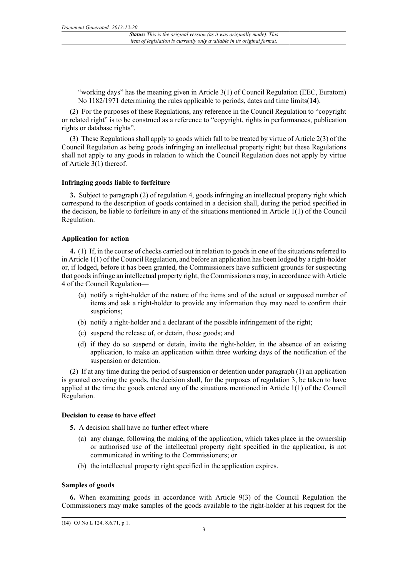"working days" has the meaning given in Article 3(1) of Council Regulation (EEC, Euratom) No 1182/1971 determining the rules applicable to periods, dates and time limits(**14**).

(2) For the purposes of these Regulations, any reference in the Council Regulation to "copyright or related right" is to be construed as a reference to "copyright, rights in performances, publication rights or database rights".

(3) These Regulations shall apply to goods which fall to be treated by virtue of Article 2(3) of the Council Regulation as being goods infringing an intellectual property right; but these Regulations shall not apply to any goods in relation to which the Council Regulation does not apply by virtue of Article 3(1) thereof.

#### **Infringing goods liable to forfeiture**

**3.** Subject to paragraph (2) of regulation 4, goods infringing an intellectual property right which correspond to the description of goods contained in a decision shall, during the period specified in the decision, be liable to forfeiture in any of the situations mentioned in Article 1(1) of the Council Regulation.

#### **Application for action**

**4.** (1) If, in the course of checks carried out in relation to goods in one of the situations referred to in Article 1(1) of the Council Regulation, and before an application has been lodged by a right-holder or, if lodged, before it has been granted, the Commissioners have sufficient grounds for suspecting that goods infringe an intellectual property right, the Commissioners may, in accordance with Article 4 of the Council Regulation—

- (a) notify a right-holder of the nature of the items and of the actual or supposed number of items and ask a right-holder to provide any information they may need to confirm their suspicions;
- (b) notify a right-holder and a declarant of the possible infringement of the right;
- (c) suspend the release of, or detain, those goods; and
- (d) if they do so suspend or detain, invite the right-holder, in the absence of an existing application, to make an application within three working days of the notification of the suspension or detention.

(2) If at any time during the period of suspension or detention under paragraph (1) an application is granted covering the goods, the decision shall, for the purposes of regulation 3, be taken to have applied at the time the goods entered any of the situations mentioned in Article 1(1) of the Council Regulation.

#### **Decision to cease to have effect**

**5.** A decision shall have no further effect where—

- (a) any change, following the making of the application, which takes place in the ownership or authorised use of the intellectual property right specified in the application, is not communicated in writing to the Commissioners; or
- (b) the intellectual property right specified in the application expires.

#### **Samples of goods**

**6.** When examining goods in accordance with Article 9(3) of the Council Regulation the Commissioners may make samples of the goods available to the right-holder at his request for the

<sup>(</sup>**14**) OJ No L 124, 8.6.71, p 1.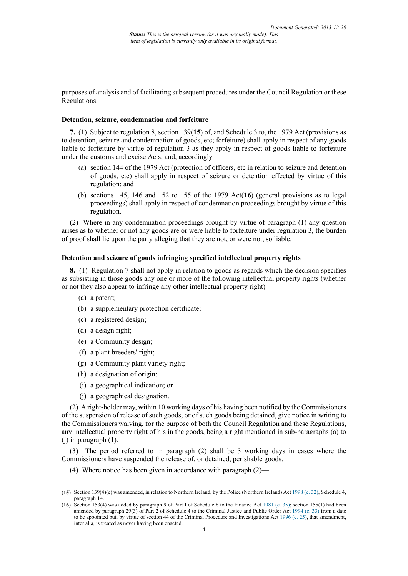purposes of analysis and of facilitating subsequent procedures under the Council Regulation or these Regulations.

#### **Detention, seizure, condemnation and forfeiture**

**7.** (1) Subject to regulation 8, section 139(**15**) of, and Schedule 3 to, the 1979 Act (provisions as to detention, seizure and condemnation of goods, etc; forfeiture) shall apply in respect of any goods liable to forfeiture by virtue of regulation 3 as they apply in respect of goods liable to forfeiture under the customs and excise Acts; and, accordingly—

- (a) section 144 of the 1979 Act (protection of officers, etc in relation to seizure and detention of goods, etc) shall apply in respect of seizure or detention effected by virtue of this regulation; and
- (b) sections 145, 146 and 152 to 155 of the 1979 Act(**16**) (general provisions as to legal proceedings) shall apply in respect of condemnation proceedings brought by virtue of this regulation.

(2) Where in any condemnation proceedings brought by virtue of paragraph (1) any question arises as to whether or not any goods are or were liable to forfeiture under regulation 3, the burden of proof shall lie upon the party alleging that they are not, or were not, so liable.

#### **Detention and seizure of goods infringing specified intellectual property rights**

**8.** (1) Regulation 7 shall not apply in relation to goods as regards which the decision specifies as subsisting in those goods any one or more of the following intellectual property rights (whether or not they also appear to infringe any other intellectual property right)—

- (a) a patent;
- (b) a supplementary protection certificate;
- (c) a registered design;
- (d) a design right;
- (e) a Community design;
- (f) a plant breeders' right;
- (g) a Community plant variety right;
- (h) a designation of origin;
- (i) a geographical indication; or
- (j) a geographical designation.

(2) A right-holder may, within 10 working days of his having been notified by the Commissioners of the suspension of release of such goods, or of such goods being detained, give notice in writing to the Commissioners waiving, for the purpose of both the Council Regulation and these Regulations, any intellectual property right of his in the goods, being a right mentioned in sub-paragraphs (a) to  $(i)$  in paragraph  $(1)$ .

(3) The period referred to in paragraph (2) shall be 3 working days in cases where the Commissioners have suspended the release of, or detained, perishable goods.

(4) Where notice has been given in accordance with paragraph (2)—

<sup>(</sup>**15**) Section 139(4)(c) was amended, in relation to Northern Ireland, by the Police (Northern Ireland) Act [1998 \(c. 32\),](http://www.legislation.gov.uk/id/ukpga/1998/32) Schedule 4, paragraph 14.

<sup>(</sup>**16**) Section 153(4) was added by paragraph 9 of Part I of Schedule 8 to the Finance Act [1981 \(c. 35\)](http://www.legislation.gov.uk/id/ukpga/1981/35); section 155(1) had been amended by paragraph 29(3) of Part 2 of Schedule 4 to the Criminal Justice and Public Order Act [1994 \(c. 33\)](http://www.legislation.gov.uk/id/ukpga/1994/33) from a date to be appointed but, by virtue of section 44 of the Criminal Procedure and Investigations Act [1996 \(c. 25\),](http://www.legislation.gov.uk/id/ukpga/1996/25) that amendment, inter alia, is treated as never having been enacted.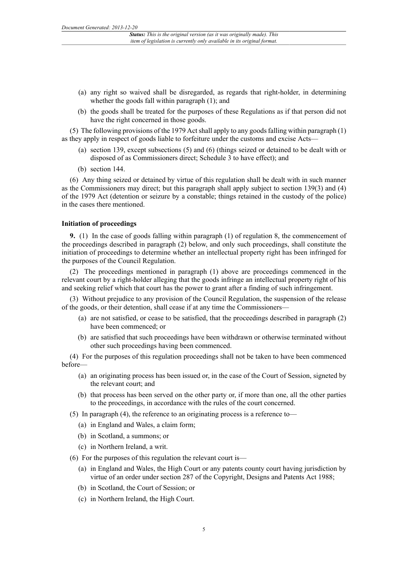- (a) any right so waived shall be disregarded, as regards that right-holder, in determining whether the goods fall within paragraph (1); and
- (b) the goods shall be treated for the purposes of these Regulations as if that person did not have the right concerned in those goods.

(5) The following provisions of the 1979 Act shall apply to any goods falling within paragraph (1) as they apply in respect of goods liable to forfeiture under the customs and excise Acts—

- (a) section 139, except subsections (5) and (6) (things seized or detained to be dealt with or disposed of as Commissioners direct; Schedule 3 to have effect); and
- (b) section 144.

(6) Any thing seized or detained by virtue of this regulation shall be dealt with in such manner as the Commissioners may direct; but this paragraph shall apply subject to section 139(3) and (4) of the 1979 Act (detention or seizure by a constable; things retained in the custody of the police) in the cases there mentioned.

#### **Initiation of proceedings**

**9.** (1) In the case of goods falling within paragraph (1) of regulation 8, the commencement of the proceedings described in paragraph (2) below, and only such proceedings, shall constitute the initiation of proceedings to determine whether an intellectual property right has been infringed for the purposes of the Council Regulation.

(2) The proceedings mentioned in paragraph (1) above are proceedings commenced in the relevant court by a right-holder alleging that the goods infringe an intellectual property right of his and seeking relief which that court has the power to grant after a finding of such infringement.

(3) Without prejudice to any provision of the Council Regulation, the suspension of the release of the goods, or their detention, shall cease if at any time the Commissioners—

- (a) are not satisfied, or cease to be satisfied, that the proceedings described in paragraph (2) have been commenced; or
- (b) are satisfied that such proceedings have been withdrawn or otherwise terminated without other such proceedings having been commenced.

(4) For the purposes of this regulation proceedings shall not be taken to have been commenced before—

- (a) an originating process has been issued or, in the case of the Court of Session, signeted by the relevant court; and
- (b) that process has been served on the other party or, if more than one, all the other parties to the proceedings, in accordance with the rules of the court concerned.
- (5) In paragraph (4), the reference to an originating process is a reference to—
	- (a) in England and Wales, a claim form;
	- (b) in Scotland, a summons; or
	- (c) in Northern Ireland, a writ.
- (6) For the purposes of this regulation the relevant court is—
	- (a) in England and Wales, the High Court or any patents county court having jurisdiction by virtue of an order under section 287 of the Copyright, Designs and Patents Act 1988;
	- (b) in Scotland, the Court of Session; or
	- (c) in Northern Ireland, the High Court.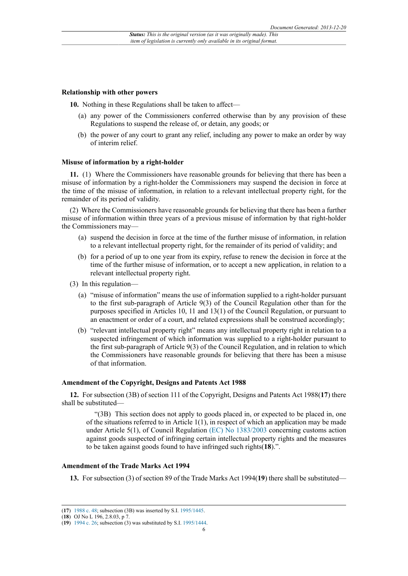#### **Relationship with other powers**

**10.** Nothing in these Regulations shall be taken to affect—

- (a) any power of the Commissioners conferred otherwise than by any provision of these Regulations to suspend the release of, or detain, any goods; or
- (b) the power of any court to grant any relief, including any power to make an order by way of interim relief.

#### **Misuse of information by a right-holder**

**11.** (1) Where the Commissioners have reasonable grounds for believing that there has been a misuse of information by a right-holder the Commissioners may suspend the decision in force at the time of the misuse of information, in relation to a relevant intellectual property right, for the remainder of its period of validity.

(2) Where the Commissioners have reasonable grounds for believing that there has been a further misuse of information within three years of a previous misuse of information by that right-holder the Commissioners may—

- (a) suspend the decision in force at the time of the further misuse of information, in relation to a relevant intellectual property right, for the remainder of its period of validity; and
- (b) for a period of up to one year from its expiry, refuse to renew the decision in force at the time of the further misuse of information, or to accept a new application, in relation to a relevant intellectual property right.
- (3) In this regulation—
	- (a) "misuse of information" means the use of information supplied to a right-holder pursuant to the first sub-paragraph of Article 9(3) of the Council Regulation other than for the purposes specified in Articles 10, 11 and 13(1) of the Council Regulation, or pursuant to an enactment or order of a court, and related expressions shall be construed accordingly;
	- (b) "relevant intellectual property right" means any intellectual property right in relation to a suspected infringement of which information was supplied to a right-holder pursuant to the first sub-paragraph of Article 9(3) of the Council Regulation, and in relation to which the Commissioners have reasonable grounds for believing that there has been a misuse of that information.

#### **Amendment of the Copyright, Designs and Patents Act 1988**

**12.** For subsection (3B) of section 111 of the Copyright, Designs and Patents Act 1988(**17**) there shall be substituted—

"(3B) This section does not apply to goods placed in, or expected to be placed in, one of the situations referred to in Article  $1(1)$ , in respect of which an application may be made under Article 5(1), of Council Regulation [\(EC\) No 1383/2003](http://www.legislation.gov.uk/european/regulation/2003/1383) concerning customs action against goods suspected of infringing certain intellectual property rights and the measures to be taken against goods found to have infringed such rights(**18**).".

#### **Amendment of the Trade Marks Act 1994**

**13.** For subsection (3) of section 89 of the Trade Marks Act 1994(**19**) there shall be substituted—

<sup>(</sup>**17**) [1988 c. 48;](http://www.legislation.gov.uk/id/ukpga/1988/48) subsection (3B) was inserted by S.I. [1995/1445](http://www.legislation.gov.uk/id/uksi/1995/1445).

<sup>(</sup>**18**) OJ No L 196, 2.8.03, p 7.

<sup>(</sup>**19**) [1994 c. 26;](http://www.legislation.gov.uk/id/ukpga/1994/26) subsection (3) was substituted by S.I. [1995/1444](http://www.legislation.gov.uk/id/uksi/1995/1444).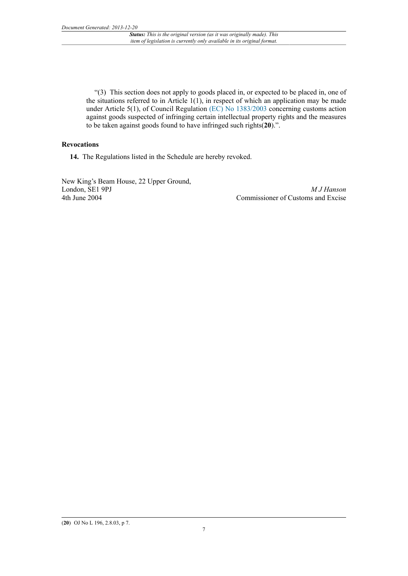"(3) This section does not apply to goods placed in, or expected to be placed in, one of the situations referred to in Article  $1(1)$ , in respect of which an application may be made under Article 5(1), of Council Regulation [\(EC\) No 1383/2003](http://www.legislation.gov.uk/european/regulation/2003/1383) concerning customs action against goods suspected of infringing certain intellectual property rights and the measures to be taken against goods found to have infringed such rights(**20**).".

#### **Revocations**

**14.** The Regulations listed in the Schedule are hereby revoked.

New King's Beam House, 22 Upper Ground, London, SE1 9PJ 4th June 2004

*M J Hanson* Commissioner of Customs and Excise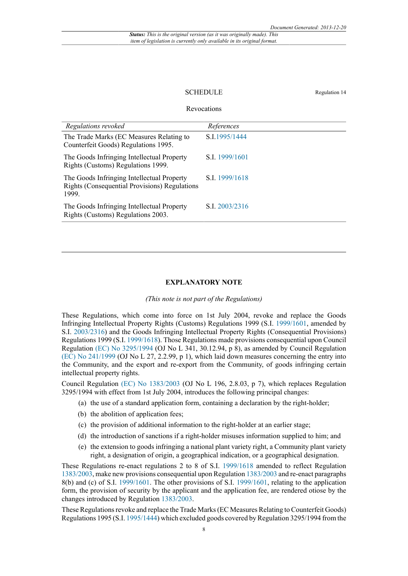#### SCHEDULE Regulation 14

#### Revocations

| Regulations revoked                                                                                         | References     |
|-------------------------------------------------------------------------------------------------------------|----------------|
| The Trade Marks (EC Measures Relating to<br>Counterfeit Goods) Regulations 1995.                            | S.I.1995/1444  |
| The Goods Infringing Intellectual Property<br>Rights (Customs) Regulations 1999.                            | S.I. 1999/1601 |
| The Goods Infringing Intellectual Property<br><b>Rights (Consequential Provisions) Regulations</b><br>1999. | S.I. 1999/1618 |
| The Goods Infringing Intellectual Property<br>Rights (Customs) Regulations 2003.                            | S.I. 2003/2316 |
|                                                                                                             |                |

#### **EXPLANATORY NOTE**

#### *(This note is not part of the Regulations)*

These Regulations, which come into force on 1st July 2004, revoke and replace the Goods Infringing Intellectual Property Rights (Customs) Regulations 1999 (S.I. [1999/1601,](http://www.legislation.gov.uk/id/uksi/1999/1601) amended by S.I. [2003/2316\)](http://www.legislation.gov.uk/id/uksi/2003/2316) and the Goods Infringing Intellectual Property Rights (Consequential Provisions) Regulations 1999 (S.I. [1999/1618](http://www.legislation.gov.uk/id/uksi/1999/1618)). Those Regulations made provisions consequential upon Council Regulation [\(EC\) No 3295/1994](http://www.legislation.gov.uk/european/regulation/1994/3295) (OJ No L 341, 30.12.94, p 8), as amended by Council Regulation [\(EC\) No 241/1999](http://www.legislation.gov.uk/european/regulation/1999/0241) (OJ No L 27, 2.2.99, p 1), which laid down measures concerning the entry into the Community, and the export and re-export from the Community, of goods infringing certain intellectual property rights.

Council Regulation [\(EC\) No 1383/2003](http://www.legislation.gov.uk/european/regulation/2003/1383) (OJ No L 196, 2.8.03, p 7), which replaces Regulation 3295/1994 with effect from 1st July 2004, introduces the following principal changes:

- (a) the use of a standard application form, containing a declaration by the right-holder;
- (b) the abolition of application fees;
- (c) the provision of additional information to the right-holder at an earlier stage;
- (d) the introduction of sanctions if a right-holder misuses information supplied to him; and
- (e) the extension to goods infringing a national plant variety right, a Community plant variety right, a designation of origin, a geographical indication, or a geographical designation.

These Regulations re-enact regulations 2 to 8 of S.I. [1999/1618](http://www.legislation.gov.uk/id/uksi/1999/1618) amended to reflect Regulation [1383/2003,](http://www.legislation.gov.uk/id/uksi/1383/2003) make new provisions consequential upon Regulation [1383/2003](http://www.legislation.gov.uk/id/uksi/1383/2003) and re-enact paragraphs 8(b) and (c) of S.I. [1999/1601.](http://www.legislation.gov.uk/id/uksi/1999/1601) The other provisions of S.I. [1999/1601](http://www.legislation.gov.uk/id/uksi/1999/1601), relating to the application form, the provision of security by the applicant and the application fee, are rendered otiose by the changes introduced by Regulation [1383/2003.](http://www.legislation.gov.uk/id/uksi/1383/2003)

These Regulations revoke and replace the Trade Marks (EC Measures Relating to Counterfeit Goods) Regulations 1995 (S.I. [1995/1444](http://www.legislation.gov.uk/id/uksi/1995/1444)) which excluded goods covered by Regulation 3295/1994 from the